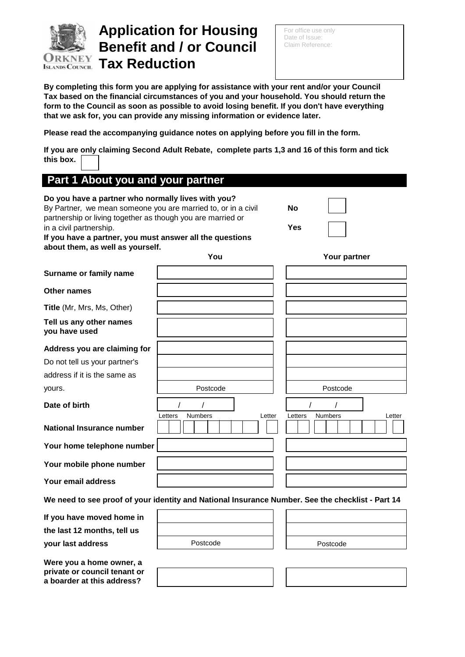

# **Application for Housing Benefit and / or Council URKNEY Tax Reduction**

For office use only Date of Issue: Claim Reference:

**By completing this form you are applying for assistance with your rent and/or your Council Tax based on the financial circumstances of you and your household. You should return the form to the Council as soon as possible to avoid losing benefit. If you don't have everything that we ask for, you can provide any missing information or evidence later.**

**Please read the accompanying guidance notes on applying before you fill in the form.** 

**If you are only claiming Second Adult Rebate, complete parts 1,3 and 16 of this form and tick this box.**

| Part 1 About you and your partner                                                                                                                                                                                                                                                                             |                                                                                                  |                                     |
|---------------------------------------------------------------------------------------------------------------------------------------------------------------------------------------------------------------------------------------------------------------------------------------------------------------|--------------------------------------------------------------------------------------------------|-------------------------------------|
| Do you have a partner who normally lives with you?<br>By Partner, we mean someone you are married to, or in a civil<br>partnership or living together as though you are married or<br>in a civil partnership.<br>If you have a partner, you must answer all the questions<br>about them, as well as yourself. |                                                                                                  | No<br><b>Yes</b>                    |
|                                                                                                                                                                                                                                                                                                               | You                                                                                              | Your partner                        |
| Surname or family name                                                                                                                                                                                                                                                                                        |                                                                                                  |                                     |
| <b>Other names</b>                                                                                                                                                                                                                                                                                            |                                                                                                  |                                     |
| Title (Mr, Mrs, Ms, Other)                                                                                                                                                                                                                                                                                    |                                                                                                  |                                     |
| Tell us any other names<br>you have used                                                                                                                                                                                                                                                                      |                                                                                                  |                                     |
| Address you are claiming for                                                                                                                                                                                                                                                                                  |                                                                                                  |                                     |
| Do not tell us your partner's                                                                                                                                                                                                                                                                                 |                                                                                                  |                                     |
| address if it is the same as                                                                                                                                                                                                                                                                                  |                                                                                                  |                                     |
| yours.                                                                                                                                                                                                                                                                                                        | Postcode                                                                                         | Postcode                            |
| Date of birth                                                                                                                                                                                                                                                                                                 | <b>Numbers</b><br>Letters<br>Letter                                                              | <b>Numbers</b><br>Letters<br>Letter |
| <b>National Insurance number</b>                                                                                                                                                                                                                                                                              |                                                                                                  |                                     |
| Your home telephone number                                                                                                                                                                                                                                                                                    |                                                                                                  |                                     |
| Your mobile phone number                                                                                                                                                                                                                                                                                      |                                                                                                  |                                     |
| Your email address                                                                                                                                                                                                                                                                                            |                                                                                                  |                                     |
|                                                                                                                                                                                                                                                                                                               | We need to see proof of your identity and National Insurance Number. See the checklist - Part 14 |                                     |
| If you have moved home in                                                                                                                                                                                                                                                                                     |                                                                                                  |                                     |
| the last 12 months, tell us                                                                                                                                                                                                                                                                                   |                                                                                                  |                                     |
| your last address                                                                                                                                                                                                                                                                                             | Postcode                                                                                         | Postcode                            |
| Were you a home owner, a<br>private or council tenant or<br>a boarder at this address?                                                                                                                                                                                                                        |                                                                                                  |                                     |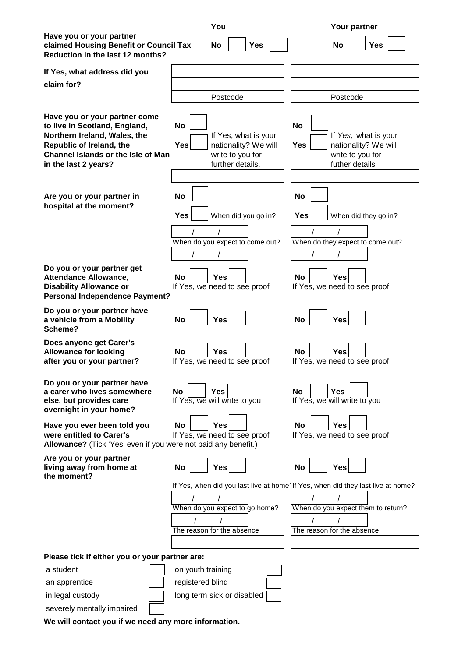|                                                                                                                                                                                                 | You                                                                                                             | Your partner                                                                                                                                         |
|-------------------------------------------------------------------------------------------------------------------------------------------------------------------------------------------------|-----------------------------------------------------------------------------------------------------------------|------------------------------------------------------------------------------------------------------------------------------------------------------|
| Have you or your partner<br>claimed Housing Benefit or Council Tax<br>Reduction in the last 12 months?                                                                                          | <b>Yes</b><br><b>No</b>                                                                                         | Yes<br><b>No</b>                                                                                                                                     |
| If Yes, what address did you                                                                                                                                                                    |                                                                                                                 |                                                                                                                                                      |
| claim for?                                                                                                                                                                                      |                                                                                                                 |                                                                                                                                                      |
|                                                                                                                                                                                                 | Postcode                                                                                                        | Postcode                                                                                                                                             |
| Have you or your partner come<br>to live in Scotland, England,<br>Northern Ireland, Wales, the<br>Republic of Ireland, the<br><b>Channel Islands or the Isle of Man</b><br>in the last 2 years? | <b>No</b><br>If Yes, what is your<br><b>Yes</b><br>nationality? We will<br>write to you for<br>further details. | <b>No</b><br>If Yes, what is your<br>nationality? We will<br><b>Yes</b><br>write to you for<br>futher details                                        |
| Are you or your partner in<br>hospital at the moment?                                                                                                                                           | <b>No</b><br><b>Yes</b><br>When did you go in?<br>When do you expect to come out?                               | <b>No</b><br><b>Yes</b><br>When did they go in?<br>When do they expect to come out?                                                                  |
| Do you or your partner get<br><b>Attendance Allowance,</b><br><b>Disability Allowance or</b><br><b>Personal Independence Payment?</b>                                                           | <b>Yes</b><br>No<br>If Yes, we need to see proof                                                                | <b>No</b><br><b>Yes</b><br>If Yes, we need to see proof                                                                                              |
| Do you or your partner have<br>a vehicle from a Mobility<br>Scheme?                                                                                                                             | <b>No</b><br><b>Yes</b>                                                                                         | <b>No</b><br><b>Yes</b>                                                                                                                              |
| Does anyone get Carer's<br><b>Allowance for looking</b><br>after you or your partner?                                                                                                           | <b>Yes</b><br>No<br>If Yes, we need to see proof                                                                | <b>No</b><br><b>Yes</b><br>If Yes, we need to see proof                                                                                              |
| Do you or your partner have<br>a carer who lives somewhere<br>else, but provides care<br>overnight in your home?                                                                                | <b>No</b><br><b>Yes</b><br>If Yes, we will write to you                                                         | Yes<br>No<br>If Yes, we will write to you                                                                                                            |
| Have you ever been told you<br>were entitled to Carer's<br>Allowance? (Tick 'Yes' even if you were not paid any benefit.)                                                                       | <b>Yes</b><br>No<br>If Yes, we need to see proof                                                                | <b>No</b><br><b>Yes</b><br>If Yes, we need to see proof                                                                                              |
| Are you or your partner<br>living away from home at<br>the moment?                                                                                                                              | <b>Yes</b><br>No                                                                                                | <b>No</b><br><b>Yes</b>                                                                                                                              |
|                                                                                                                                                                                                 | When do you expect to go home?<br>The reason for the absence                                                    | If Yes, when did you last live at home' If Yes, when did they last live at home?<br>When do you expect them to return?<br>The reason for the absence |
| Please tick if either you or your partner are:                                                                                                                                                  |                                                                                                                 |                                                                                                                                                      |
| a student<br>an apprentice<br>in legal custody<br>severely mentally impaired                                                                                                                    | on youth training<br>registered blind<br>long term sick or disabled                                             |                                                                                                                                                      |
|                                                                                                                                                                                                 |                                                                                                                 |                                                                                                                                                      |

**We will contact you if we need any more information.**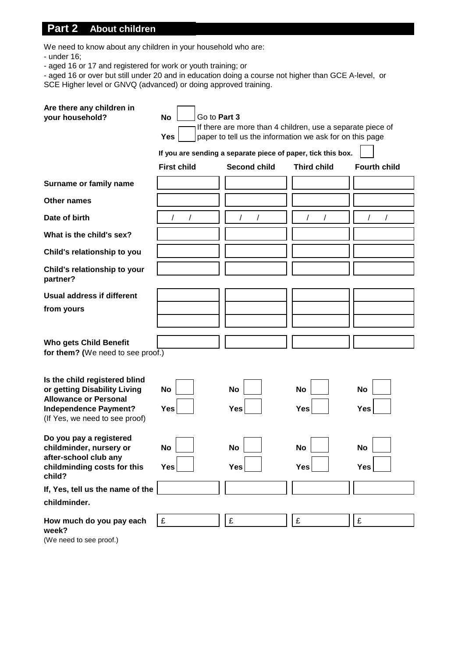# **Part 2 About children**

We need to know about any children in your household who are:

- under 16;

- aged 16 or 17 and registered for work or youth training; or

- aged 16 or over but still under 20 and in education doing a course not higher than GCE A-level, or SCE Higher level or GNVQ (advanced) or doing approved training.

| Are there any children in<br>your household?                                                                                                                    | Go to Part 3<br><b>No</b><br><b>Yes</b><br><b>First child</b> | If there are more than 4 children, use a separate piece of<br>paper to tell us the information we ask for on this page<br>If you are sending a separate piece of paper, tick this box.<br><b>Second child</b> | <b>Third child</b>      | <b>Fourth child</b> |
|-----------------------------------------------------------------------------------------------------------------------------------------------------------------|---------------------------------------------------------------|---------------------------------------------------------------------------------------------------------------------------------------------------------------------------------------------------------------|-------------------------|---------------------|
| Surname or family name                                                                                                                                          |                                                               |                                                                                                                                                                                                               |                         |                     |
| <b>Other names</b>                                                                                                                                              |                                                               |                                                                                                                                                                                                               |                         |                     |
| Date of birth                                                                                                                                                   |                                                               |                                                                                                                                                                                                               |                         |                     |
| What is the child's sex?                                                                                                                                        |                                                               |                                                                                                                                                                                                               |                         |                     |
| Child's relationship to you                                                                                                                                     |                                                               |                                                                                                                                                                                                               |                         |                     |
| Child's relationship to your<br>partner?                                                                                                                        |                                                               |                                                                                                                                                                                                               |                         |                     |
| Usual address if different                                                                                                                                      |                                                               |                                                                                                                                                                                                               |                         |                     |
| from yours                                                                                                                                                      |                                                               |                                                                                                                                                                                                               |                         |                     |
| <b>Who gets Child Benefit</b><br>for them? (We need to see proof.)                                                                                              |                                                               |                                                                                                                                                                                                               |                         |                     |
| Is the child registered blind<br>or getting Disability Living<br><b>Allowance or Personal</b><br><b>Independence Payment?</b><br>(If Yes, we need to see proof) | <b>No</b><br><b>Yes</b>                                       | <b>No</b><br>Yes                                                                                                                                                                                              | <b>No</b><br><b>Yes</b> | <b>No</b><br>Yes    |
| Do you pay a registered<br>childminder, nursery or<br>after-school club any<br>childminding costs for this<br>child?                                            | No<br>Yes                                                     | No<br>Yes                                                                                                                                                                                                     | No<br>Yes               | <b>No</b><br>Yes    |
| If, Yes, tell us the name of the                                                                                                                                |                                                               |                                                                                                                                                                                                               |                         |                     |
| childminder.                                                                                                                                                    |                                                               |                                                                                                                                                                                                               |                         |                     |
| How much do you pay each<br>week?                                                                                                                               | £                                                             | £                                                                                                                                                                                                             | £                       | £                   |

(We need to see proof.)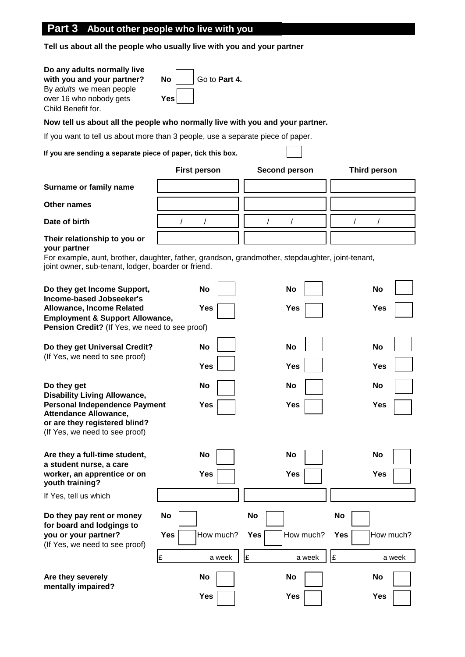# **Part 3 About other people who live with you**

**Tell us about all the people who usually live with you and your partner**

| Do any adults normally live<br>with you and your partner?<br>By adults we mean people<br>over 16 who nobody gets<br>Child Benefit for.                  | <b>No</b><br>Go to Part 4.<br><b>Yes</b> |                        |                               |
|---------------------------------------------------------------------------------------------------------------------------------------------------------|------------------------------------------|------------------------|-------------------------------|
| Now tell us about all the people who normally live with you and your partner.                                                                           |                                          |                        |                               |
| If you want to tell us about more than 3 people, use a separate piece of paper.                                                                         |                                          |                        |                               |
| If you are sending a separate piece of paper, tick this box.                                                                                            |                                          |                        |                               |
|                                                                                                                                                         | <b>First person</b>                      | Second person          | <b>Third person</b>           |
| Surname or family name                                                                                                                                  |                                          |                        |                               |
| Other names                                                                                                                                             |                                          |                        |                               |
| Date of birth                                                                                                                                           |                                          |                        |                               |
| Their relationship to you or<br>your partner                                                                                                            |                                          |                        |                               |
| For example, aunt, brother, daughter, father, grandson, grandmother, stepdaughter, joint-tenant,<br>joint owner, sub-tenant, lodger, boarder or friend. |                                          |                        |                               |
| Do they get Income Support,<br><b>Income-based Jobseeker's</b>                                                                                          | <b>No</b>                                | <b>No</b>              | <b>No</b>                     |
| <b>Allowance, Income Related</b><br><b>Employment &amp; Support Allowance,</b><br>Pension Credit? (If Yes, we need to see proof)                        | <b>Yes</b>                               | <b>Yes</b>             | <b>Yes</b>                    |
| Do they get Universal Credit?<br>(If Yes, we need to see proof)                                                                                         | <b>No</b>                                | <b>No</b>              | No                            |
|                                                                                                                                                         | Yes                                      | <b>Yes</b>             | <b>Yes</b>                    |
| Do they get<br><b>Disability Living Allowance,</b>                                                                                                      | No                                       | No                     | No                            |
| <b>Personal Independence Payment</b><br><b>Attendance Allowance,</b><br>or are they registered blind?<br>(If Yes, we need to see proof)                 | Yes                                      | <b>Yes</b>             | Yes                           |
| Are they a full-time student,                                                                                                                           | No                                       | <b>No</b>              | <b>No</b>                     |
| a student nurse, a care<br>worker, an apprentice or on<br>youth training?                                                                               | <b>Yes</b>                               | <b>Yes</b>             | <b>Yes</b>                    |
| If Yes, tell us which                                                                                                                                   |                                          |                        |                               |
| Do they pay rent or money<br>for board and lodgings to<br>you or your partner?<br>(If Yes, we need to see proof)                                        | No<br><b>Yes</b><br>How much?            | No<br>How much?<br>Yes | <b>No</b><br>Yes<br>How much? |
|                                                                                                                                                         | £<br>a week                              | £<br>a week            | £<br>a week                   |
| Are they severely<br>mentally impaired?                                                                                                                 | No                                       | No                     | No                            |
|                                                                                                                                                         | <b>Yes</b>                               | <b>Yes</b>             | Yes                           |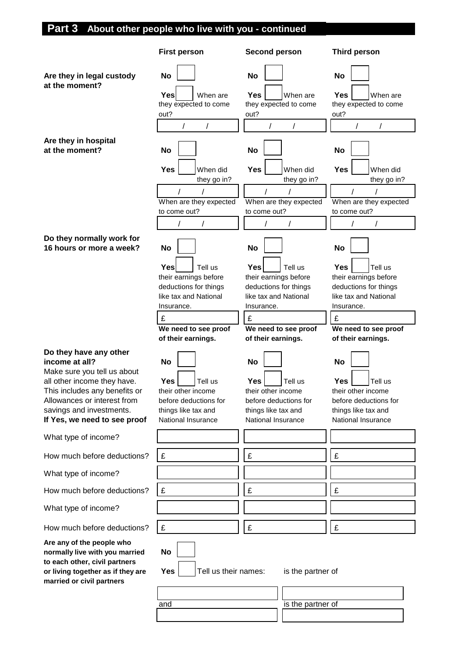# **Part 3 About other people who live with you - continued**

|                                                                                                                                                                                                                                    | <b>First person</b>                                                                                                                           | <b>Second person</b>                                                                                                                                 | Third person                                                                                                                                         |
|------------------------------------------------------------------------------------------------------------------------------------------------------------------------------------------------------------------------------------|-----------------------------------------------------------------------------------------------------------------------------------------------|------------------------------------------------------------------------------------------------------------------------------------------------------|------------------------------------------------------------------------------------------------------------------------------------------------------|
| Are they in legal custody<br>at the moment?                                                                                                                                                                                        | <b>No</b><br><b>Yes</b>                                                                                                                       | <b>No</b><br><b>Yes</b>                                                                                                                              | <b>No</b><br>Yes                                                                                                                                     |
|                                                                                                                                                                                                                                    | When are<br>they expected to come<br>out?                                                                                                     | When are<br>they expected to come<br>out?                                                                                                            | When are<br>they expected to come<br>out?                                                                                                            |
|                                                                                                                                                                                                                                    | $\prime$<br>$\prime$                                                                                                                          | $\prime$                                                                                                                                             |                                                                                                                                                      |
| Are they in hospital<br>at the moment?                                                                                                                                                                                             | <b>No</b>                                                                                                                                     | <b>No</b>                                                                                                                                            | <b>No</b>                                                                                                                                            |
|                                                                                                                                                                                                                                    | <b>Yes</b><br>When did<br>they go in?                                                                                                         | Yes<br>When did<br>they go in?                                                                                                                       | Yes<br>When did<br>they go in?                                                                                                                       |
|                                                                                                                                                                                                                                    |                                                                                                                                               |                                                                                                                                                      |                                                                                                                                                      |
|                                                                                                                                                                                                                                    | When are they expected<br>to come out?                                                                                                        | When are they expected<br>to come out?                                                                                                               | When are they expected<br>to come out?                                                                                                               |
|                                                                                                                                                                                                                                    |                                                                                                                                               |                                                                                                                                                      |                                                                                                                                                      |
| Do they normally work for<br>16 hours or more a week?                                                                                                                                                                              | <b>No</b>                                                                                                                                     | <b>No</b>                                                                                                                                            | No                                                                                                                                                   |
|                                                                                                                                                                                                                                    | <b>Yes</b><br>Tell us<br>their earnings before<br>deductions for things<br>like tax and National<br>Insurance.                                | Tell us<br><b>Yes</b><br>their earnings before<br>deductions for things<br>like tax and National<br>Insurance.                                       | <b>Yes</b><br>Tell us<br>their earnings before<br>deductions for things<br>like tax and National<br>Insurance.                                       |
|                                                                                                                                                                                                                                    | £                                                                                                                                             | £                                                                                                                                                    | £                                                                                                                                                    |
|                                                                                                                                                                                                                                    | We need to see proof                                                                                                                          | We need to see proof                                                                                                                                 | We need to see proof                                                                                                                                 |
|                                                                                                                                                                                                                                    |                                                                                                                                               |                                                                                                                                                      |                                                                                                                                                      |
| Do they have any other<br>income at all?<br>Make sure you tell us about<br>all other income they have.<br>This includes any benefits or<br>Allowances or interest from<br>savings and investments.<br>If Yes, we need to see proof | of their earnings.<br><b>No</b><br>Yes<br>Tell us<br>their other income<br>before deductions for<br>things like tax and<br>National Insurance | of their earnings.<br><b>No</b><br><b>Yes</b><br>Tell us<br>their other income<br>before deductions for<br>things like tax and<br>National Insurance | of their earnings.<br><b>No</b><br><b>Yes</b><br>Tell us<br>their other income<br>before deductions for<br>things like tax and<br>National Insurance |
| What type of income?                                                                                                                                                                                                               |                                                                                                                                               |                                                                                                                                                      |                                                                                                                                                      |
| How much before deductions?                                                                                                                                                                                                        | £                                                                                                                                             | £                                                                                                                                                    | £                                                                                                                                                    |
| What type of income?                                                                                                                                                                                                               |                                                                                                                                               |                                                                                                                                                      |                                                                                                                                                      |
| How much before deductions?                                                                                                                                                                                                        | £                                                                                                                                             | £                                                                                                                                                    | £                                                                                                                                                    |
| What type of income?                                                                                                                                                                                                               |                                                                                                                                               |                                                                                                                                                      |                                                                                                                                                      |
| How much before deductions?                                                                                                                                                                                                        | £                                                                                                                                             | £                                                                                                                                                    | £                                                                                                                                                    |
| Are any of the people who<br>normally live with you married<br>to each other, civil partners<br>or living together as if they are<br>married or civil partners                                                                     | <b>No</b><br>Tell us their names:<br>Yes                                                                                                      | is the partner of                                                                                                                                    |                                                                                                                                                      |
|                                                                                                                                                                                                                                    | and                                                                                                                                           | is the partner of                                                                                                                                    |                                                                                                                                                      |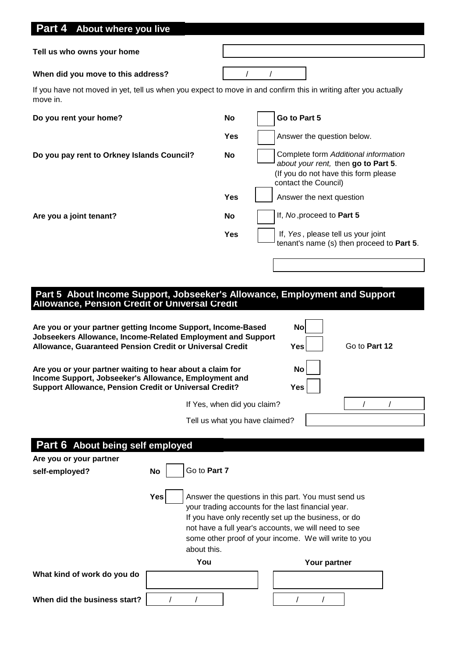| Part 4 About where you live                                                                                                                                                                                                                                                                                            |                             |            |                                                                                                                                                                                                                                                                                    |                                                                                                                     |
|------------------------------------------------------------------------------------------------------------------------------------------------------------------------------------------------------------------------------------------------------------------------------------------------------------------------|-----------------------------|------------|------------------------------------------------------------------------------------------------------------------------------------------------------------------------------------------------------------------------------------------------------------------------------------|---------------------------------------------------------------------------------------------------------------------|
| Tell us who owns your home                                                                                                                                                                                                                                                                                             |                             |            |                                                                                                                                                                                                                                                                                    |                                                                                                                     |
| When did you move to this address?                                                                                                                                                                                                                                                                                     |                             |            |                                                                                                                                                                                                                                                                                    |                                                                                                                     |
| If you have not moved in yet, tell us when you expect to move in and confirm this in writing after you actually<br>move in.                                                                                                                                                                                            |                             |            |                                                                                                                                                                                                                                                                                    |                                                                                                                     |
| Do you rent your home?                                                                                                                                                                                                                                                                                                 |                             | No         | Go to Part 5                                                                                                                                                                                                                                                                       |                                                                                                                     |
|                                                                                                                                                                                                                                                                                                                        |                             | <b>Yes</b> |                                                                                                                                                                                                                                                                                    | Answer the question below.                                                                                          |
| Do you pay rent to Orkney Islands Council?                                                                                                                                                                                                                                                                             |                             | No         | contact the Council)                                                                                                                                                                                                                                                               | Complete form Additional information<br>about your rent, then go to Part 5.<br>(If you do not have this form please |
|                                                                                                                                                                                                                                                                                                                        |                             | <b>Yes</b> |                                                                                                                                                                                                                                                                                    | Answer the next question                                                                                            |
| Are you a joint tenant?                                                                                                                                                                                                                                                                                                |                             | No         | If, No, proceed to Part 5                                                                                                                                                                                                                                                          |                                                                                                                     |
|                                                                                                                                                                                                                                                                                                                        |                             | Yes        |                                                                                                                                                                                                                                                                                    | If, Yes, please tell us your joint<br>tenant's name (s) then proceed to Part 5.                                     |
|                                                                                                                                                                                                                                                                                                                        |                             |            |                                                                                                                                                                                                                                                                                    |                                                                                                                     |
| Part 5 About Income Support, Jobseeker's Allowance, Employment and Support<br>Allowance, Pension Credit or Universal Credit<br>Are you or your partner getting Income Support, Income-Based<br>Jobseekers Allowance, Income-Related Employment and Support<br>Allowance, Guaranteed Pension Credit or Universal Credit |                             |            | <b>No</b><br>Yes                                                                                                                                                                                                                                                                   | Go to Part 12                                                                                                       |
| Are you or your partner waiting to hear about a claim for<br>Income Support, Jobseeker's Allowance, Employment and<br><b>Support Allowance, Pension Credit or Universal Credit?</b>                                                                                                                                    |                             |            | No<br>Yes                                                                                                                                                                                                                                                                          |                                                                                                                     |
|                                                                                                                                                                                                                                                                                                                        | If Yes, when did you claim? |            |                                                                                                                                                                                                                                                                                    |                                                                                                                     |
|                                                                                                                                                                                                                                                                                                                        |                             |            | Tell us what you have claimed?                                                                                                                                                                                                                                                     |                                                                                                                     |
| Part 6 About being self employed                                                                                                                                                                                                                                                                                       |                             |            |                                                                                                                                                                                                                                                                                    |                                                                                                                     |
| Are you or your partner                                                                                                                                                                                                                                                                                                |                             |            |                                                                                                                                                                                                                                                                                    |                                                                                                                     |
| <b>No</b><br>self-employed?                                                                                                                                                                                                                                                                                            | Go to Part 7                |            |                                                                                                                                                                                                                                                                                    |                                                                                                                     |
| Yes                                                                                                                                                                                                                                                                                                                    | about this.                 |            | Answer the questions in this part. You must send us<br>your trading accounts for the last financial year.<br>If you have only recently set up the business, or do<br>not have a full year's accounts, we will need to see<br>some other proof of your income. We will write to you |                                                                                                                     |
|                                                                                                                                                                                                                                                                                                                        | You                         |            |                                                                                                                                                                                                                                                                                    | Your partner                                                                                                        |
| What kind of work do you do                                                                                                                                                                                                                                                                                            |                             |            |                                                                                                                                                                                                                                                                                    |                                                                                                                     |
| When did the business start?                                                                                                                                                                                                                                                                                           |                             |            |                                                                                                                                                                                                                                                                                    |                                                                                                                     |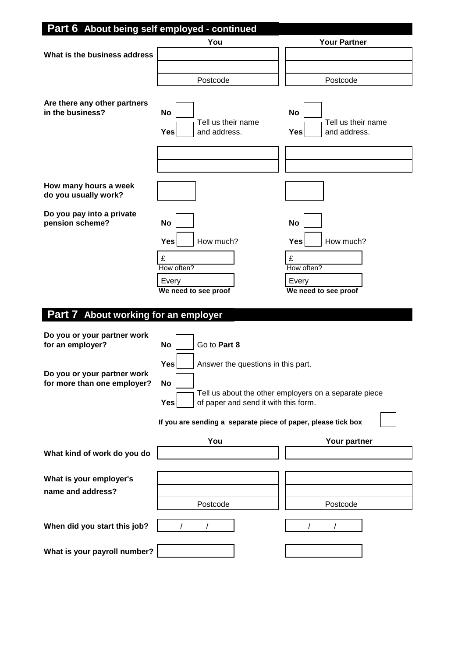| Part 6 About being self employed - continued               |                                                                 |                                                        |
|------------------------------------------------------------|-----------------------------------------------------------------|--------------------------------------------------------|
|                                                            | You                                                             | <b>Your Partner</b>                                    |
| What is the business address                               |                                                                 |                                                        |
|                                                            |                                                                 |                                                        |
|                                                            | Postcode                                                        | Postcode                                               |
| Are there any other partners<br>in the business?           | <b>No</b><br>Tell us their name<br><b>Yes</b><br>and address.   | <b>No</b><br>Tell us their name<br>Yes<br>and address. |
|                                                            |                                                                 |                                                        |
|                                                            |                                                                 |                                                        |
| How many hours a week<br>do you usually work?              |                                                                 |                                                        |
| Do you pay into a private<br>pension scheme?               | <b>No</b>                                                       | <b>No</b>                                              |
|                                                            | How much?<br><b>Yes</b>                                         | <b>Yes</b><br>How much?                                |
|                                                            | £                                                               | £                                                      |
|                                                            | How often?                                                      | How often?                                             |
|                                                            | Every                                                           | Every                                                  |
|                                                            | We need to see proof                                            | We need to see proof                                   |
| Part 7 About working for an employer                       |                                                                 |                                                        |
| Do you or your partner work<br>for an employer?            | Go to Part 8<br><b>No</b>                                       |                                                        |
|                                                            | <b>Yes</b><br>Answer the questions in this part.                |                                                        |
| Do you or your partner work<br>for more than one employer? | <b>No</b><br><b>Yes</b><br>of paper and send it with this form. | Tell us about the other employers on a separate piece  |
|                                                            | If you are sending a separate piece of paper, please tick box   |                                                        |
|                                                            | You                                                             | Your partner                                           |
| What kind of work do you do                                |                                                                 |                                                        |
| What is your employer's<br>name and address?               |                                                                 |                                                        |
|                                                            | Postcode                                                        | Postcode                                               |
| When did you start this job?                               | $\prime$                                                        |                                                        |
| What is your payroll number?                               |                                                                 |                                                        |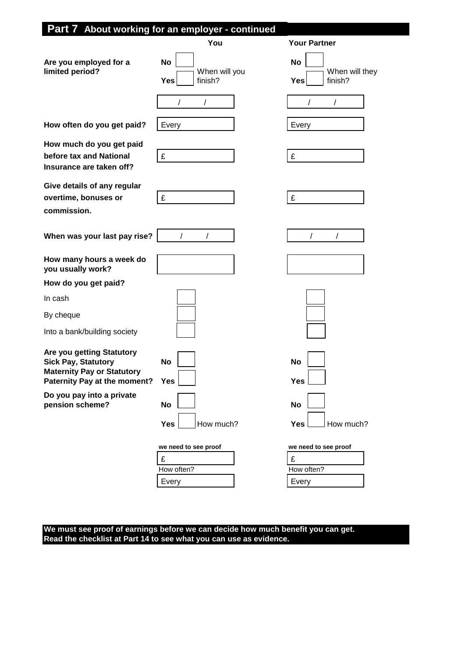|                                                                                                                              | You                                                 | <b>Your Partner</b>                                     |
|------------------------------------------------------------------------------------------------------------------------------|-----------------------------------------------------|---------------------------------------------------------|
| Are you employed for a<br>limited period?                                                                                    | <b>No</b><br>When will you<br><b>Yes</b><br>finish? | No<br>When will they<br><b>Yes</b><br>finish?<br>7<br>7 |
| How often do you get paid?                                                                                                   | Every                                               | Every                                                   |
| How much do you get paid<br>before tax and National<br>Insurance are taken off?                                              | £                                                   | £                                                       |
| Give details of any regular<br>overtime, bonuses or<br>commission.                                                           | £                                                   | £                                                       |
| When was your last pay rise?                                                                                                 |                                                     |                                                         |
| How many hours a week do<br>you usually work?                                                                                |                                                     |                                                         |
| How do you get paid?                                                                                                         |                                                     |                                                         |
| In cash                                                                                                                      |                                                     |                                                         |
| By cheque                                                                                                                    |                                                     |                                                         |
| Into a bank/building society                                                                                                 |                                                     |                                                         |
| Are you getting Statutory<br><b>Sick Pay, Statutory</b><br><b>Maternity Pay or Statutory</b><br>Paternity Pay at the moment? | <b>No</b><br><b>Yes</b>                             | No<br><b>Yes</b>                                        |
| Do you pay into a private<br>pension scheme?                                                                                 | <b>No</b>                                           | <b>No</b>                                               |
|                                                                                                                              | How much?<br><b>Yes</b>                             | How much?<br><b>Yes</b>                                 |
|                                                                                                                              | we need to see proof<br>£                           | we need to see proof<br>£                               |
|                                                                                                                              | How often?<br>Every                                 | How often?<br>Every                                     |

**We must see proof of earnings before we can decide how much benefit you can get. Read the checklist at Part 14 to see what you can use as evidence.**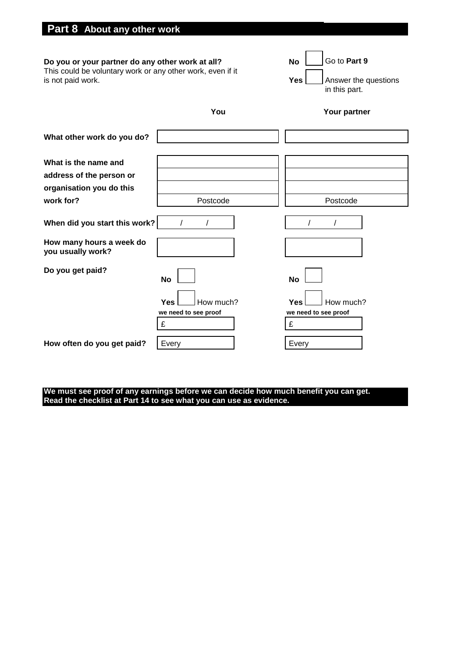| Part 8 About any other work                                                                                                         |                         |                                                                                  |
|-------------------------------------------------------------------------------------------------------------------------------------|-------------------------|----------------------------------------------------------------------------------|
| Do you or your partner do any other work at all?<br>This could be voluntary work or any other work, even if it<br>is not paid work. |                         | Go to Part 9<br><b>No</b><br><b>Yes</b><br>Answer the questions<br>in this part. |
|                                                                                                                                     | You                     | Your partner                                                                     |
| What other work do you do?                                                                                                          |                         |                                                                                  |
| What is the name and<br>address of the person or<br>organisation you do this<br>work for?                                           | Postcode                | Postcode                                                                         |
| When did you start this work?                                                                                                       |                         |                                                                                  |
| How many hours a week do<br>you usually work?                                                                                       |                         |                                                                                  |
| Do you get paid?                                                                                                                    | <b>No</b>               | <b>No</b>                                                                        |
|                                                                                                                                     | <b>Yes</b><br>How much? | Yes<br>How much?                                                                 |

**We must see proof of any earnings before we can decide how much benefit you can get. Read the checklist at Part 14 to see what you can use as evidence.**

**How often do you get paid?** Every **Example 2** Every

**we need to see proof we need to see proof**

 $\mathbf{E}$   $\mathbf{E}$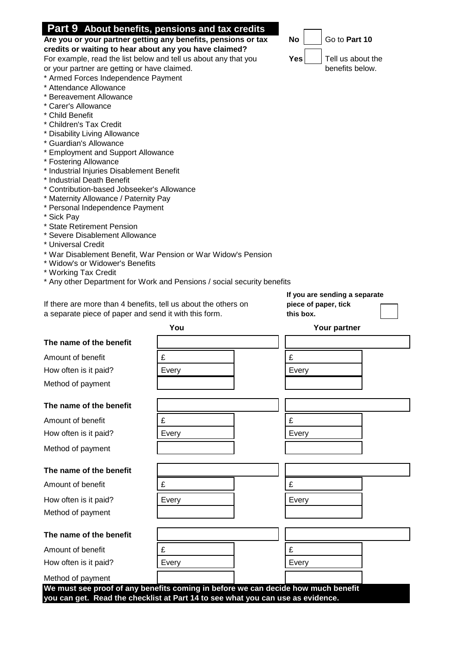|                                                                         | credits or waiting to hear about any you have claimed?                            |                                 |  |  |
|-------------------------------------------------------------------------|-----------------------------------------------------------------------------------|---------------------------------|--|--|
| For example, read the list below and tell us about any that you         |                                                                                   | <b>Yes</b><br>Tell us about the |  |  |
| benefits below.<br>or your partner are getting or have claimed.         |                                                                                   |                                 |  |  |
| * Armed Forces Independence Payment                                     |                                                                                   |                                 |  |  |
| * Attendance Allowance<br>* Bereavement Allowance                       |                                                                                   |                                 |  |  |
| * Carer's Allowance                                                     |                                                                                   |                                 |  |  |
| * Child Benefit                                                         |                                                                                   |                                 |  |  |
| * Children's Tax Credit                                                 |                                                                                   |                                 |  |  |
| * Disability Living Allowance                                           |                                                                                   |                                 |  |  |
| * Guardian's Allowance                                                  |                                                                                   |                                 |  |  |
| * Employment and Support Allowance                                      |                                                                                   |                                 |  |  |
| * Fostering Allowance                                                   |                                                                                   |                                 |  |  |
| * Industrial Injuries Disablement Benefit<br>* Industrial Death Benefit |                                                                                   |                                 |  |  |
| * Contribution-based Jobseeker's Allowance                              |                                                                                   |                                 |  |  |
| * Maternity Allowance / Paternity Pay                                   |                                                                                   |                                 |  |  |
| * Personal Independence Payment                                         |                                                                                   |                                 |  |  |
| * Sick Pay                                                              |                                                                                   |                                 |  |  |
| * State Retirement Pension                                              |                                                                                   |                                 |  |  |
| * Severe Disablement Allowance<br>* Universal Credit                    |                                                                                   |                                 |  |  |
|                                                                         | * War Disablement Benefit, War Pension or War Widow's Pension                     |                                 |  |  |
| * Widow's or Widower's Benefits                                         |                                                                                   |                                 |  |  |
| * Working Tax Credit                                                    |                                                                                   |                                 |  |  |
|                                                                         | * Any other Department for Work and Pensions / social security benefits           |                                 |  |  |
|                                                                         |                                                                                   | If you are sending a separate   |  |  |
| If there are more than 4 benefits, tell us about the others on          |                                                                                   | piece of paper, tick            |  |  |
| a separate piece of paper and send it with this form.                   |                                                                                   | this box.                       |  |  |
|                                                                         |                                                                                   |                                 |  |  |
|                                                                         | You                                                                               | Your partner                    |  |  |
| The name of the benefit                                                 |                                                                                   |                                 |  |  |
| Amount of benefit                                                       | £                                                                                 | £                               |  |  |
| How often is it paid?                                                   | Every                                                                             | Every                           |  |  |
| Method of payment                                                       |                                                                                   |                                 |  |  |
|                                                                         |                                                                                   |                                 |  |  |
| The name of the benefit                                                 |                                                                                   |                                 |  |  |
| Amount of benefit                                                       | £                                                                                 | £                               |  |  |
| How often is it paid?                                                   | Every                                                                             | Every                           |  |  |
| Method of payment                                                       |                                                                                   |                                 |  |  |
|                                                                         |                                                                                   |                                 |  |  |
| The name of the benefit                                                 |                                                                                   |                                 |  |  |
| Amount of benefit                                                       | £                                                                                 | £                               |  |  |
| How often is it paid?                                                   | Every                                                                             | Every                           |  |  |
| Method of payment                                                       |                                                                                   |                                 |  |  |
|                                                                         |                                                                                   |                                 |  |  |
| The name of the benefit                                                 |                                                                                   |                                 |  |  |
| Amount of benefit                                                       | £                                                                                 | £                               |  |  |
| How often is it paid?                                                   | Every                                                                             | Every                           |  |  |
| Method of payment                                                       | We must see proof of any benefits coming in before we can decide how much benefit |                                 |  |  |

# **Part 9 About benefits, pensions and tax credits**

**Are you or your partner getting any benefits, pensions or tax No**  $\lfloor$  **\_\_\_| Go to Part 10** 

| THE HAME OF THE BEHEIR  |                                                                                                                                                                      |       |
|-------------------------|----------------------------------------------------------------------------------------------------------------------------------------------------------------------|-------|
| Amount of benefit       | £                                                                                                                                                                    | £     |
| How often is it paid?   | Every                                                                                                                                                                | Every |
| Method of payment       |                                                                                                                                                                      |       |
|                         |                                                                                                                                                                      |       |
| The name of the benefit |                                                                                                                                                                      |       |
| Amount of benefit       | £                                                                                                                                                                    | £     |
| How often is it paid?   | Every                                                                                                                                                                | Every |
| Method of payment       |                                                                                                                                                                      |       |
|                         |                                                                                                                                                                      |       |
| The name of the benefit |                                                                                                                                                                      |       |
| Amount of benefit       | £                                                                                                                                                                    | £     |
| How often is it paid?   | Every                                                                                                                                                                | Every |
| Method of payment       |                                                                                                                                                                      |       |
| The name of the benefit |                                                                                                                                                                      |       |
|                         |                                                                                                                                                                      |       |
| Amount of benefit       | £                                                                                                                                                                    | £     |
| How often is it paid?   | Every                                                                                                                                                                | Every |
| Method of payment       |                                                                                                                                                                      |       |
|                         | We must see proof of any benefits coming in before we can decide how much benefit<br>you can get. Read the checklist at Part 14 to see what you can use as evidence. |       |

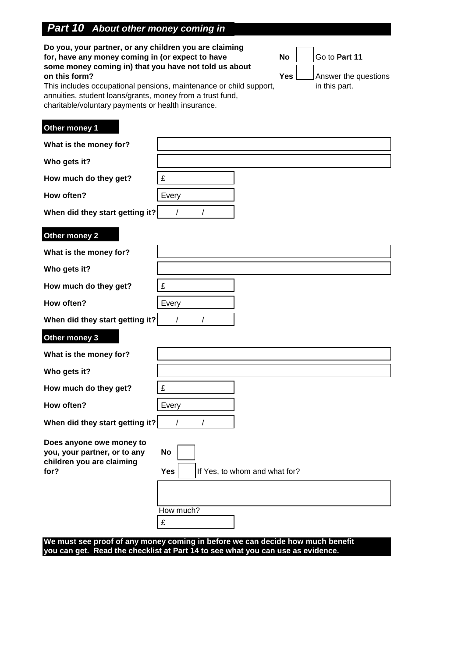# *Part 10 About other money coming in*

| Do you, your partner, or any children you are claiming<br>for, have any money coming in (or expect to have<br>some money coming in) that you have not told us about<br>on this form?<br>annuities, student loans/grants, money from a trust fund,<br>charitable/voluntary payments or health insurance. | This includes occupational pensions, maintenance or child support, | <b>No</b><br><b>Yes</b> | Go to Part 11<br>Answer the questions<br>in this part. |
|---------------------------------------------------------------------------------------------------------------------------------------------------------------------------------------------------------------------------------------------------------------------------------------------------------|--------------------------------------------------------------------|-------------------------|--------------------------------------------------------|
| Other money 1<br>What is the money for?                                                                                                                                                                                                                                                                 |                                                                    |                         |                                                        |
|                                                                                                                                                                                                                                                                                                         |                                                                    |                         |                                                        |
| Who gets it?                                                                                                                                                                                                                                                                                            |                                                                    |                         |                                                        |
| How much do they get?                                                                                                                                                                                                                                                                                   | £                                                                  |                         |                                                        |
| How often?                                                                                                                                                                                                                                                                                              | Every                                                              |                         |                                                        |
| When did they start getting it?                                                                                                                                                                                                                                                                         | $\prime$                                                           |                         |                                                        |
| Other money 2                                                                                                                                                                                                                                                                                           |                                                                    |                         |                                                        |
| What is the money for?                                                                                                                                                                                                                                                                                  |                                                                    |                         |                                                        |
| Who gets it?                                                                                                                                                                                                                                                                                            |                                                                    |                         |                                                        |
| How much do they get?                                                                                                                                                                                                                                                                                   | £                                                                  |                         |                                                        |
| How often?                                                                                                                                                                                                                                                                                              | Every                                                              |                         |                                                        |
| When did they start getting it?                                                                                                                                                                                                                                                                         | $\prime$                                                           |                         |                                                        |
| Other money 3                                                                                                                                                                                                                                                                                           |                                                                    |                         |                                                        |
| What is the money for?                                                                                                                                                                                                                                                                                  |                                                                    |                         |                                                        |
| Who gets it?                                                                                                                                                                                                                                                                                            |                                                                    |                         |                                                        |
| How much do they get?                                                                                                                                                                                                                                                                                   | £                                                                  |                         |                                                        |
| How often?                                                                                                                                                                                                                                                                                              | Every                                                              |                         |                                                        |
| When did they start getting it?                                                                                                                                                                                                                                                                         | $\prime$                                                           |                         |                                                        |
| Does anyone owe money to<br>you, your partner, or to any<br>children you are claiming<br>for?                                                                                                                                                                                                           | No<br>Yes<br>If Yes, to whom and what for?<br>How much?            |                         |                                                        |
|                                                                                                                                                                                                                                                                                                         | £                                                                  |                         |                                                        |

#### **We must see proof of any money coming in before we can decide how much benefit you can get. Read the checklist at Part 14 to see what you can use as evidence.**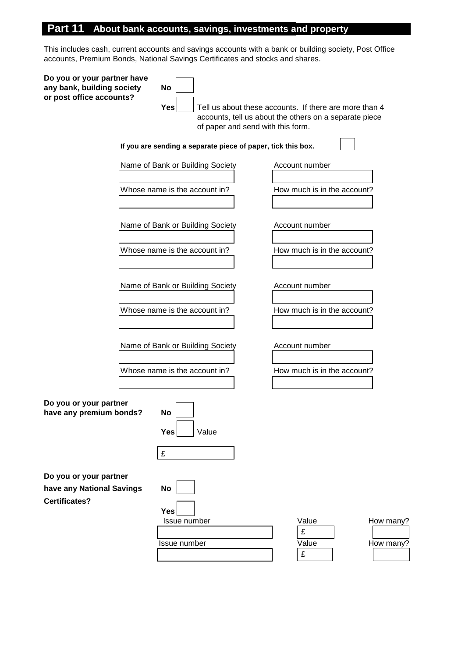# **Part 11 About bank accounts, savings, investments and property**

This includes cash, current accounts and savings accounts with a bank or building society, Post Office accounts, Premium Bonds, National Savings Certificates and stocks and shares.

| Do you or your partner have<br>any bank, building society<br>or post office accounts? | No<br><b>Yes</b><br>of paper and send with this form.        | Tell us about these accounts. If there are more than 4<br>accounts, tell us about the others on a separate piece |
|---------------------------------------------------------------------------------------|--------------------------------------------------------------|------------------------------------------------------------------------------------------------------------------|
|                                                                                       | If you are sending a separate piece of paper, tick this box. |                                                                                                                  |
|                                                                                       | Name of Bank or Building Society                             | Account number                                                                                                   |
|                                                                                       | Whose name is the account in?                                | How much is in the account?                                                                                      |
|                                                                                       | Name of Bank or Building Society                             | Account number                                                                                                   |
|                                                                                       | Whose name is the account in?                                | How much is in the account?                                                                                      |
|                                                                                       | Name of Bank or Building Society                             | Account number                                                                                                   |
|                                                                                       | Whose name is the account in?                                | How much is in the account?                                                                                      |
|                                                                                       | Name of Bank or Building Society                             | Account number                                                                                                   |
|                                                                                       | Whose name is the account in?                                | How much is in the account?                                                                                      |
| Do you or your partner<br>have any premium bonds?                                     | <b>No</b><br>Value<br><b>Yes</b><br>£                        |                                                                                                                  |
| Do you or your partner<br>have any National Savings<br><b>Certificates?</b>           | <b>No</b><br><b>Yes</b><br>Issue number<br>Issue number      | Value<br>How many?<br>£<br>Value<br>How many?<br>£                                                               |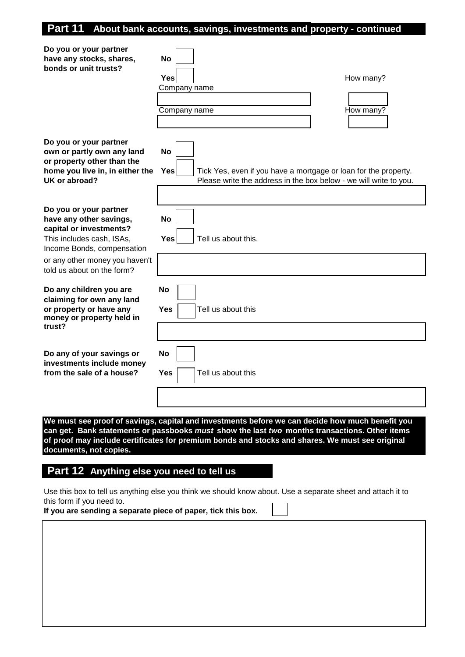## **Part 11 About bank accounts, savings, investments and property - continued**

| Do you or your partner<br>have any stocks, shares,<br>bonds or unit trusts?                                                             | No<br><b>Yes</b><br>How many?<br>Company name<br>How many?<br>Company name                                                                                                                       |
|-----------------------------------------------------------------------------------------------------------------------------------------|--------------------------------------------------------------------------------------------------------------------------------------------------------------------------------------------------|
| Do you or your partner<br>own or partly own any land<br>or property other than the<br>home you live in, in either the<br>UK or abroad?  | <b>No</b><br><b>Yes</b><br>Tick Yes, even if you have a mortgage or loan for the property.<br>Please write the address in the box below - we will write to you.                                  |
| Do you or your partner<br>have any other savings,<br>capital or investments?<br>This includes cash, ISAs,<br>Income Bonds, compensation | No<br><b>Yes</b><br>Tell us about this.                                                                                                                                                          |
| or any other money you haven't<br>told us about on the form?                                                                            |                                                                                                                                                                                                  |
| Do any children you are<br>claiming for own any land<br>or property or have any<br>money or property held in<br>trust?                  | No<br>Yes<br>Tell us about this                                                                                                                                                                  |
|                                                                                                                                         |                                                                                                                                                                                                  |
| Do any of your savings or<br>investments include money<br>from the sale of a house?                                                     | <b>No</b><br>Yes<br>Tell us about this                                                                                                                                                           |
|                                                                                                                                         |                                                                                                                                                                                                  |
|                                                                                                                                         | We must see proof of savings, capital and investments before we can decide how much benefit you                                                                                                  |
|                                                                                                                                         | can get. Bank statements or passbooks must show the last two months transactions. Other items<br>of proof may include certificates for premium bonds and stocks and shares. We must see original |

**documents, not copies.**

## **Part 12 Anything else you need to tell us**

Use this box to tell us anything else you think we should know about. Use a separate sheet and attach it to this form if you need to.

**If you are sending a separate piece of paper, tick this box.**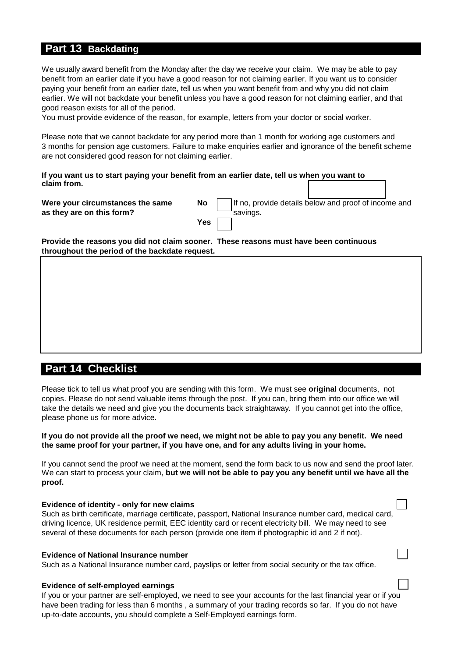## **Part 13 Backdating**

We usually award benefit from the Monday after the day we receive your claim. We may be able to pay benefit from an earlier date if you have a good reason for not claiming earlier. If you want us to consider paying your benefit from an earlier date, tell us when you want benefit from and why you did not claim earlier. We will not backdate your benefit unless you have a good reason for not claiming earlier, and that good reason exists for all of the period.

You must provide evidence of the reason, for example, letters from your doctor or social worker.

Please note that we cannot backdate for any period more than 1 month for working age customers and 3 months for pension age customers. Failure to make enquiries earlier and ignorance of the benefit scheme are not considered good reason for not claiming earlier.

**If you want us to start paying your benefit from an earlier date, tell us when you want to claim from.** 

**Were your circumstances the same Monders in No. 18. Income and proof income and proof income and proof income and proof income and proof income and proof of**  $\mathbb{N}$ as they are on this form?

| No  | If no, provide details below and proof of income and<br>savings. |
|-----|------------------------------------------------------------------|
| Yes |                                                                  |

**Provide the reasons you did not claim sooner. These reasons must have been continuous throughout the period of the backdate request.**

# **Part 14 Checklist**

Please tick to tell us what proof you are sending with this form. We must see **original** documents, not copies. Please do not send valuable items through the post. If you can, bring them into our office we will take the details we need and give you the documents back straightaway. If you cannot get into the office, please phone us for more advice.

#### **If you do not provide all the proof we need, we might not be able to pay you any benefit. We need the same proof for your partner, if you have one, and for any adults living in your home.**

If you cannot send the proof we need at the moment, send the form back to us now and send the proof later. We can start to process your claim, **but we will not be able to pay you any benefit until we have all the proof.**

#### **Evidence of identity - only for new claims**

Such as birth certificate, marriage certificate, passport, National Insurance number card, medical card, driving licence, UK residence permit, EEC identity card or recent electricity bill. We may need to see several of these documents for each person (provide one item if photographic id and 2 if not).

#### **Evidence of National Insurance number**

Such as a National Insurance number card, payslips or letter from social security or the tax office.

#### **Evidence of self-employed earnings**

If you or your partner are self-employed, we need to see your accounts for the last financial year or if you have been trading for less than 6 months , a summary of your trading records so far. If you do not have up-to-date accounts, you should complete a Self-Employed earnings form.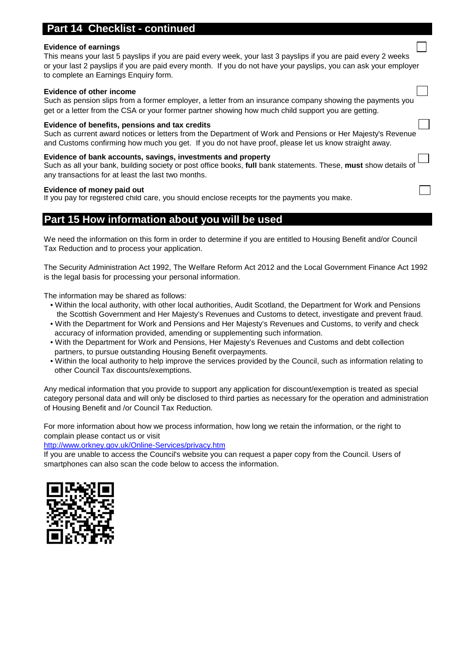### **Checklist - continued**

#### **Evidence of earnings**

This means your last 5 payslips if you are paid every week, your last 3 payslips if you are paid every 2 weeks or your last 2 payslips if you are paid every month. If you do not have your payslips, you can ask your employer to complete an Earnings Enquiry form.

#### **Evidence of other income**

Such as pension slips from a former employer, a letter from an insurance company showing the payments you get or a letter from the CSA or your former partner showing how much child support you are getting.

#### **Evidence of benefits, pensions and tax credits**

Such as current award notices or letters from the Department of Work and Pensions or Her Majesty's Revenue and Customs confirming how much you get. If you do not have proof, please let us know straight away.

#### **Evidence of bank accounts, savings, investments and property**

Such as all your bank, building society or post office books, **full** bank statements. These, **must** show details of any transactions for at least the last two months.

#### **Evidence of money paid out**

If you pay for registered child care, you should enclose receipts for the payments you make.

## **Part 15 How information about you will be used**

We need the information on this form in order to determine if you are entitled to Housing Benefit and/or Council Tax Reduction and to process your application.

The Security Administration Act 1992, The Welfare Reform Act 2012 and the Local Government Finance Act 1992 is the legal basis for processing your personal information.

The information may be shared as follows:

- Within the local authority, with other local authorities, Audit Scotland, the Department for Work and Pensions the Scottish Government and Her Majesty's Revenues and Customs to detect, investigate and prevent fraud.
- With the Department for Work and Pensions and Her Majesty's Revenues and Customs, to verify and check accuracy of information provided, amending or supplementing such information.
- With the Department for Work and Pensions, Her Majesty's Revenues and Customs and debt collection partners, to pursue outstanding Housing Benefit overpayments.
- Within the local authority to help improve the services provided by the Council, such as information relating to other Council Tax discounts/exemptions.

Any medical information that you provide to support any application for discount/exemption is treated as special category personal data and will only be disclosed to third parties as necessary for the operation and administration of Housing Benefit and /or Council Tax Reduction.

For more information about how we process information, how long we retain the information, or the right to complain please contact us or visit

#### <http://www.orkney.gov.uk/Online-Services/privacy.htm>

If you are unable to access the Council's website you can request a paper copy from the Council. Users of smartphones can also scan the code below to access the information.